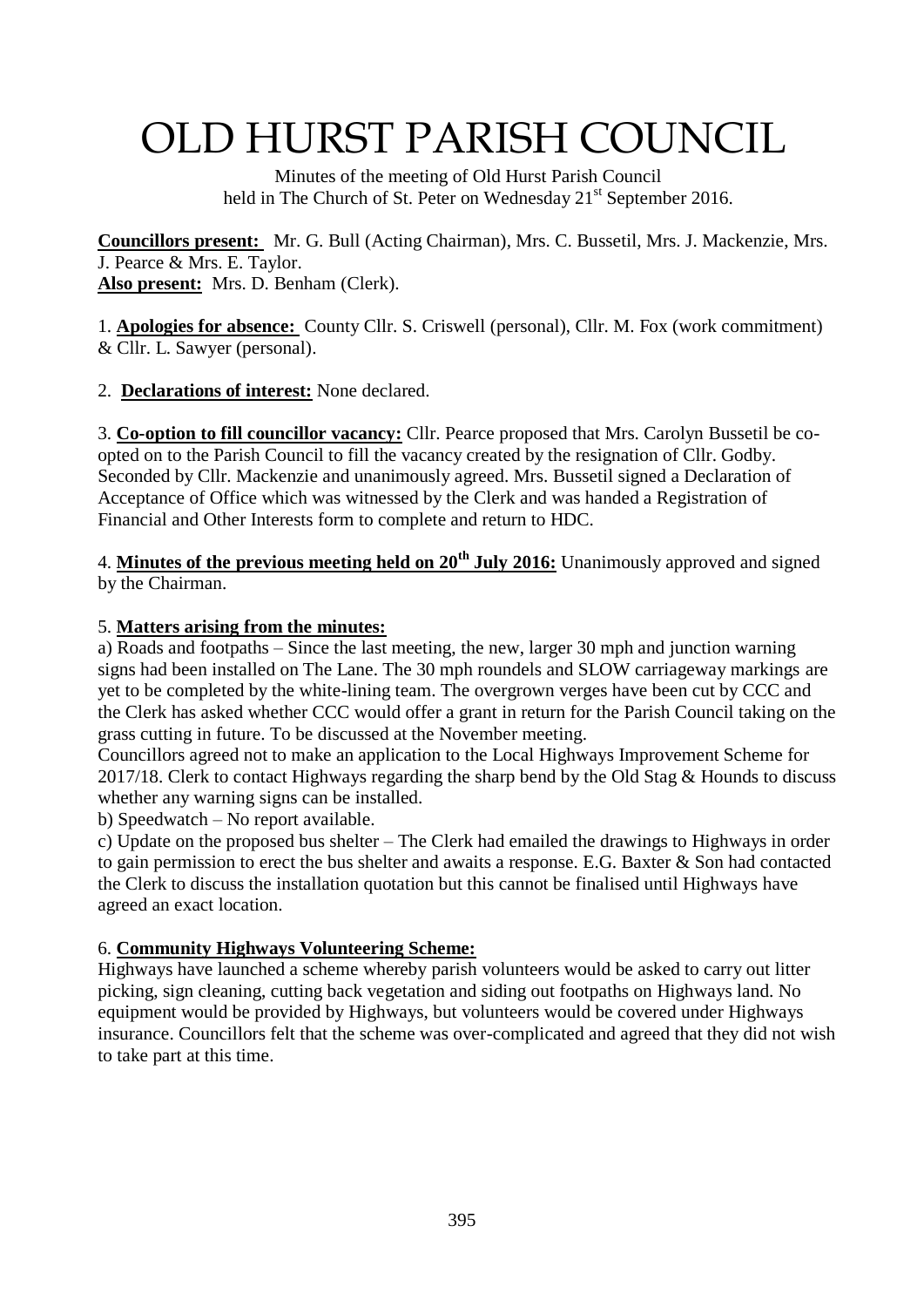# OLD HURST PARISH COUNCIL

 Minutes of the meeting of Old Hurst Parish Council held in The Church of St. Peter on Wednesday 21<sup>st</sup> September 2016.

**Councillors present:** Mr. G. Bull (Acting Chairman), Mrs. C. Bussetil, Mrs. J. Mackenzie, Mrs. J. Pearce & Mrs. E. Taylor. **Also present:** Mrs. D. Benham (Clerk).

1. **Apologies for absence:** County Cllr. S. Criswell (personal), Cllr. M. Fox (work commitment) & Cllr. L. Sawyer (personal).

2. **Declarations of interest:** None declared.

3. **Co-option to fill councillor vacancy:** Cllr. Pearce proposed that Mrs. Carolyn Bussetil be coopted on to the Parish Council to fill the vacancy created by the resignation of Cllr. Godby. Seconded by Cllr. Mackenzie and unanimously agreed. Mrs. Bussetil signed a Declaration of Acceptance of Office which was witnessed by the Clerk and was handed a Registration of Financial and Other Interests form to complete and return to HDC.

4. **Minutes of the previous meeting held on 20th July 2016:** Unanimously approved and signed by the Chairman.

## 5. **Matters arising from the minutes:**

a) Roads and footpaths – Since the last meeting, the new, larger 30 mph and junction warning signs had been installed on The Lane. The 30 mph roundels and SLOW carriageway markings are yet to be completed by the white-lining team. The overgrown verges have been cut by CCC and the Clerk has asked whether CCC would offer a grant in return for the Parish Council taking on the grass cutting in future. To be discussed at the November meeting.

Councillors agreed not to make an application to the Local Highways Improvement Scheme for 2017/18. Clerk to contact Highways regarding the sharp bend by the Old Stag & Hounds to discuss whether any warning signs can be installed.

b) Speedwatch – No report available.

c) Update on the proposed bus shelter – The Clerk had emailed the drawings to Highways in order to gain permission to erect the bus shelter and awaits a response. E.G. Baxter & Son had contacted the Clerk to discuss the installation quotation but this cannot be finalised until Highways have agreed an exact location.

## 6. **Community Highways Volunteering Scheme:**

Highways have launched a scheme whereby parish volunteers would be asked to carry out litter picking, sign cleaning, cutting back vegetation and siding out footpaths on Highways land. No equipment would be provided by Highways, but volunteers would be covered under Highways insurance. Councillors felt that the scheme was over-complicated and agreed that they did not wish to take part at this time.